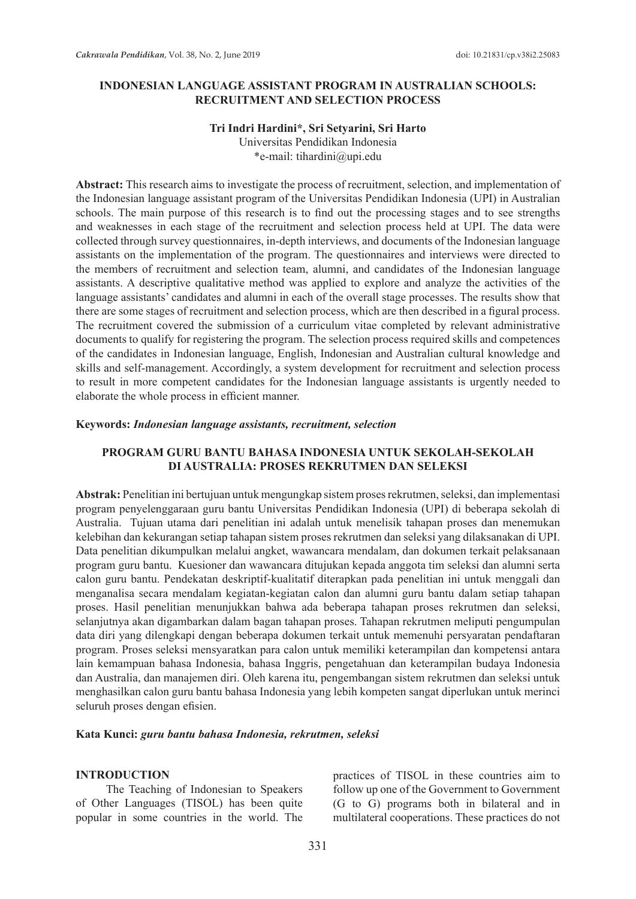### **INDONESIAN LANGUAGE ASSISTANT PROGRAM IN AUSTRALIAN SCHOOLS: RECRUITMENT AND SELECTION PROCESS**

## **Tri Indri Hardini\*, Sri Setyarini, Sri Harto**

Universitas Pendidikan Indonesia \*e-mail: tihardini@upi.edu

**Abstract:** This research aims to investigate the process of recruitment, selection, and implementation of the Indonesian language assistant program of the Universitas Pendidikan Indonesia (UPI) in Australian schools. The main purpose of this research is to find out the processing stages and to see strengths and weaknesses in each stage of the recruitment and selection process held at UPI. The data were collected through survey questionnaires, in-depth interviews, and documents of the Indonesian language assistants on the implementation of the program. The questionnaires and interviews were directed to the members of recruitment and selection team, alumni, and candidates of the Indonesian language assistants. A descriptive qualitative method was applied to explore and analyze the activities of the language assistants' candidates and alumni in each of the overall stage processes. The results show that there are some stages of recruitment and selection process, which are then described in a figural process. The recruitment covered the submission of a curriculum vitae completed by relevant administrative documents to qualify for registering the program. The selection process required skills and competences of the candidates in Indonesian language, English, Indonesian and Australian cultural knowledge and skills and self-management. Accordingly, a system development for recruitment and selection process to result in more competent candidates for the Indonesian language assistants is urgently needed to elaborate the whole process in efficient manner.

#### **Keywords:** *Indonesian language assistants, recruitment, selection*

### **PROGRAM GURU BANTU BAHASA INDONESIA UNTUK SEKOLAH-SEKOLAH DI AUSTRALIA: PROSES REKRUTMEN DAN SELEKSI**

**Abstrak:** Penelitian ini bertujuan untuk mengungkap sistem proses rekrutmen, seleksi, dan implementasi program penyelenggaraan guru bantu Universitas Pendidikan Indonesia (UPI) di beberapa sekolah di Australia. Tujuan utama dari penelitian ini adalah untuk menelisik tahapan proses dan menemukan kelebihan dan kekurangan setiap tahapan sistem proses rekrutmen dan seleksi yang dilaksanakan di UPI. Data penelitian dikumpulkan melalui angket, wawancara mendalam, dan dokumen terkait pelaksanaan program guru bantu. Kuesioner dan wawancara ditujukan kepada anggota tim seleksi dan alumni serta calon guru bantu. Pendekatan deskriptif-kualitatif diterapkan pada penelitian ini untuk menggali dan menganalisa secara mendalam kegiatan-kegiatan calon dan alumni guru bantu dalam setiap tahapan proses. Hasil penelitian menunjukkan bahwa ada beberapa tahapan proses rekrutmen dan seleksi, selanjutnya akan digambarkan dalam bagan tahapan proses. Tahapan rekrutmen meliputi pengumpulan data diri yang dilengkapi dengan beberapa dokumen terkait untuk memenuhi persyaratan pendaftaran program. Proses seleksi mensyaratkan para calon untuk memiliki keterampilan dan kompetensi antara lain kemampuan bahasa Indonesia, bahasa Inggris, pengetahuan dan keterampilan budaya Indonesia dan Australia, dan manajemen diri. Oleh karena itu, pengembangan sistem rekrutmen dan seleksi untuk menghasilkan calon guru bantu bahasa Indonesia yang lebih kompeten sangat diperlukan untuk merinci seluruh proses dengan efisien.

#### **Kata Kunci:** *guru bantu bahasa Indonesia, rekrutmen, seleksi*

#### **INTRODUCTION**

The Teaching of Indonesian to Speakers of Other Languages (TISOL) has been quite popular in some countries in the world. The practices of TISOL in these countries aim to follow up one of the Government to Government (G to G) programs both in bilateral and in multilateral cooperations. These practices do not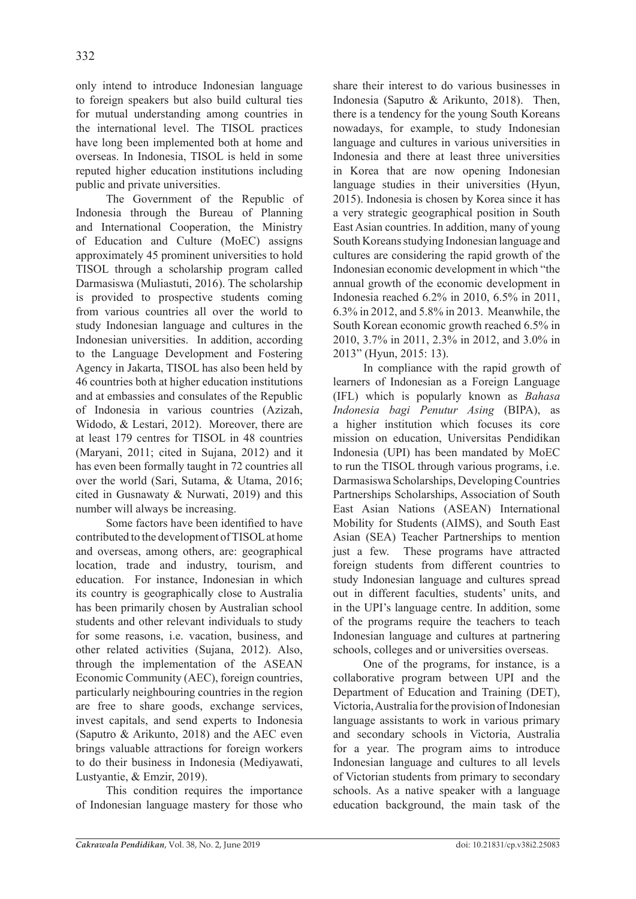only intend to introduce Indonesian language to foreign speakers but also build cultural ties for mutual understanding among countries in the international level. The TISOL practices have long been implemented both at home and overseas. In Indonesia, TISOL is held in some reputed higher education institutions including public and private universities.

The Government of the Republic of Indonesia through the Bureau of Planning and International Cooperation, the Ministry of Education and Culture (MoEC) assigns approximately 45 prominent universities to hold TISOL through a scholarship program called Darmasiswa (Muliastuti, 2016). The scholarship is provided to prospective students coming from various countries all over the world to study Indonesian language and cultures in the Indonesian universities. In addition, according to the Language Development and Fostering Agency in Jakarta, TISOL has also been held by 46 countries both at higher education institutions and at embassies and consulates of the Republic of Indonesia in various countries (Azizah, Widodo, & Lestari, 2012). Moreover, there are at least 179 centres for TISOL in 48 countries (Maryani, 2011; cited in Sujana, 2012) and it has even been formally taught in 72 countries all over the world (Sari, Sutama, & Utama, 2016; cited in Gusnawaty & Nurwati, 2019) and this number will always be increasing.

Some factors have been identified to have contributed to the development of TISOL at home and overseas, among others, are: geographical location, trade and industry, tourism, and education. For instance, Indonesian in which its country is geographically close to Australia has been primarily chosen by Australian school students and other relevant individuals to study for some reasons, i.e. vacation, business, and other related activities (Sujana, 2012). Also, through the implementation of the ASEAN Economic Community (AEC), foreign countries, particularly neighbouring countries in the region are free to share goods, exchange services, invest capitals, and send experts to Indonesia (Saputro & Arikunto, 2018) and the AEC even brings valuable attractions for foreign workers to do their business in Indonesia (Mediyawati, Lustyantie, & Emzir, 2019).

This condition requires the importance of Indonesian language mastery for those who share their interest to do various businesses in Indonesia (Saputro & Arikunto, 2018). Then, there is a tendency for the young South Koreans nowadays, for example, to study Indonesian language and cultures in various universities in Indonesia and there at least three universities in Korea that are now opening Indonesian language studies in their universities (Hyun, 2015). Indonesia is chosen by Korea since it has a very strategic geographical position in South East Asian countries. In addition, many of young South Koreans studying Indonesian language and cultures are considering the rapid growth of the Indonesian economic development in which "the annual growth of the economic development in Indonesia reached 6.2% in 2010, 6.5% in 2011, 6.3% in 2012, and 5.8% in 2013. Meanwhile, the South Korean economic growth reached 6.5% in 2010, 3.7% in 2011, 2.3% in 2012, and 3.0% in 2013" (Hyun, 2015: 13).

In compliance with the rapid growth of learners of Indonesian as a Foreign Language (IFL) which is popularly known as *Bahasa Indonesia bagi Penutur Asing* (BIPA), as a higher institution which focuses its core mission on education, Universitas Pendidikan Indonesia (UPI) has been mandated by MoEC to run the TISOL through various programs, i.e. Darmasiswa Scholarships, Developing Countries Partnerships Scholarships, Association of South East Asian Nations (ASEAN) International Mobility for Students (AIMS), and South East Asian (SEA) Teacher Partnerships to mention just a few. These programs have attracted foreign students from different countries to study Indonesian language and cultures spread out in different faculties, students' units, and in the UPI's language centre. In addition, some of the programs require the teachers to teach Indonesian language and cultures at partnering schools, colleges and or universities overseas.

One of the programs, for instance, is a collaborative program between UPI and the Department of Education and Training (DET), Victoria, Australia for the provision of Indonesian language assistants to work in various primary and secondary schools in Victoria, Australia for a year. The program aims to introduce Indonesian language and cultures to all levels of Victorian students from primary to secondary schools. As a native speaker with a language education background, the main task of the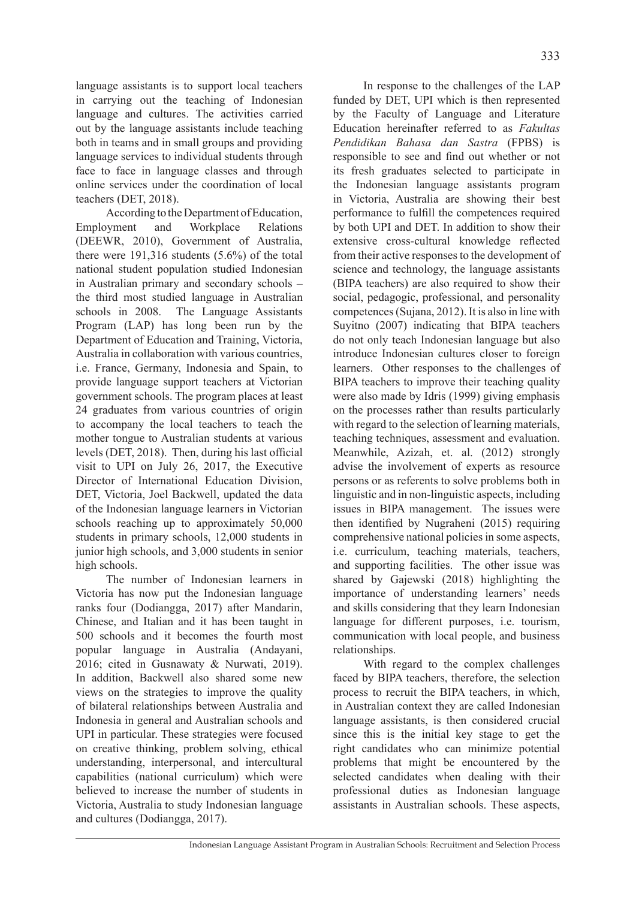language assistants is to support local teachers in carrying out the teaching of Indonesian language and cultures. The activities carried out by the language assistants include teaching both in teams and in small groups and providing language services to individual students through face to face in language classes and through online services under the coordination of local teachers (DET, 2018).

According to the Department of Education, Employment and Workplace Relations (DEEWR, 2010), Government of Australia, there were 191,316 students (5.6%) of the total national student population studied Indonesian in Australian primary and secondary schools – the third most studied language in Australian schools in 2008. The Language Assistants Program (LAP) has long been run by the Department of Education and Training, Victoria, Australia in collaboration with various countries, i.e. France, Germany, Indonesia and Spain, to provide language support teachers at Victorian government schools. The program places at least 24 graduates from various countries of origin to accompany the local teachers to teach the mother tongue to Australian students at various levels (DET, 2018). Then, during his last official visit to UPI on July 26, 2017, the Executive Director of International Education Division, DET, Victoria, Joel Backwell, updated the data of the Indonesian language learners in Victorian schools reaching up to approximately 50,000 students in primary schools, 12,000 students in junior high schools, and 3,000 students in senior high schools.

The number of Indonesian learners in Victoria has now put the Indonesian language ranks four (Dodiangga, 2017) after Mandarin, Chinese, and Italian and it has been taught in 500 schools and it becomes the fourth most popular language in Australia (Andayani, 2016; cited in Gusnawaty & Nurwati, 2019). In addition, Backwell also shared some new views on the strategies to improve the quality of bilateral relationships between Australia and Indonesia in general and Australian schools and UPI in particular. These strategies were focused on creative thinking, problem solving, ethical understanding, interpersonal, and intercultural capabilities (national curriculum) which were believed to increase the number of students in Victoria, Australia to study Indonesian language and cultures (Dodiangga, 2017).

In response to the challenges of the LAP funded by DET, UPI which is then represented by the Faculty of Language and Literature Education hereinafter referred to as *Fakultas Pendidikan Bahasa dan Sastra* (FPBS) is responsible to see and find out whether or not its fresh graduates selected to participate in the Indonesian language assistants program in Victoria, Australia are showing their best performance to fulfill the competences required by both UPI and DET. In addition to show their extensive cross-cultural knowledge reflected from their active responses to the development of science and technology, the language assistants (BIPA teachers) are also required to show their social, pedagogic, professional, and personality competences (Sujana, 2012). It is also in line with Suyitno (2007) indicating that BIPA teachers do not only teach Indonesian language but also introduce Indonesian cultures closer to foreign learners. Other responses to the challenges of BIPA teachers to improve their teaching quality were also made by Idris (1999) giving emphasis on the processes rather than results particularly with regard to the selection of learning materials, teaching techniques, assessment and evaluation. Meanwhile, Azizah, et. al. (2012) strongly advise the involvement of experts as resource persons or as referents to solve problems both in linguistic and in non-linguistic aspects, including issues in BIPA management. The issues were then identified by Nugraheni (2015) requiring comprehensive national policies in some aspects, i.e. curriculum, teaching materials, teachers, and supporting facilities. The other issue was shared by Gajewski (2018) highlighting the importance of understanding learners' needs and skills considering that they learn Indonesian language for different purposes, i.e. tourism, communication with local people, and business relationships.

With regard to the complex challenges faced by BIPA teachers, therefore, the selection process to recruit the BIPA teachers, in which, in Australian context they are called Indonesian language assistants, is then considered crucial since this is the initial key stage to get the right candidates who can minimize potential problems that might be encountered by the selected candidates when dealing with their professional duties as Indonesian language assistants in Australian schools. These aspects,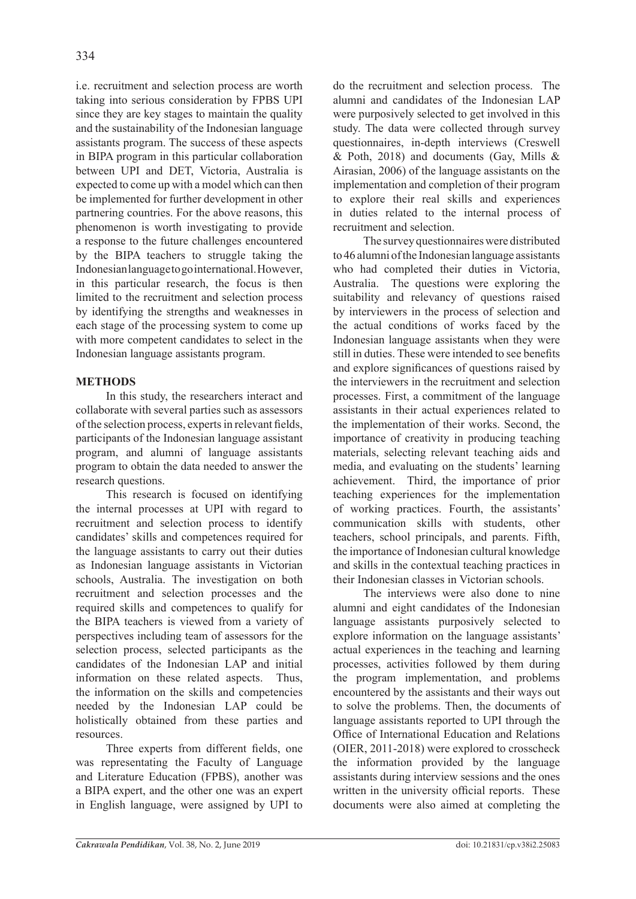i.e. recruitment and selection process are worth taking into serious consideration by FPBS UPI since they are key stages to maintain the quality and the sustainability of the Indonesian language assistants program. The success of these aspects in BIPA program in this particular collaboration between UPI and DET, Victoria, Australia is expected to come up with a model which can then be implemented for further development in other partnering countries. For the above reasons, this phenomenon is worth investigating to provide a response to the future challenges encountered by the BIPA teachers to struggle taking the Indonesian language to go international. However, in this particular research, the focus is then limited to the recruitment and selection process by identifying the strengths and weaknesses in each stage of the processing system to come up with more competent candidates to select in the Indonesian language assistants program.

# **METHODS**

In this study, the researchers interact and collaborate with several parties such as assessors of the selection process, experts in relevant fields, participants of the Indonesian language assistant program, and alumni of language assistants program to obtain the data needed to answer the research questions.

This research is focused on identifying the internal processes at UPI with regard to recruitment and selection process to identify candidates' skills and competences required for the language assistants to carry out their duties as Indonesian language assistants in Victorian schools, Australia. The investigation on both recruitment and selection processes and the required skills and competences to qualify for the BIPA teachers is viewed from a variety of perspectives including team of assessors for the selection process, selected participants as the candidates of the Indonesian LAP and initial information on these related aspects. Thus, the information on the skills and competencies needed by the Indonesian LAP could be holistically obtained from these parties and resources.

Three experts from different fields, one was representating the Faculty of Language and Literature Education (FPBS), another was a BIPA expert, and the other one was an expert in English language, were assigned by UPI to do the recruitment and selection process. The alumni and candidates of the Indonesian LAP were purposively selected to get involved in this study. The data were collected through survey questionnaires, in-depth interviews (Creswell  $&$  Poth, 2018) and documents (Gay, Mills  $&$ Airasian, 2006) of the language assistants on the implementation and completion of their program to explore their real skills and experiences in duties related to the internal process of recruitment and selection.

The survey questionnaires were distributed to 46 alumni of the Indonesian language assistants who had completed their duties in Victoria, Australia. The questions were exploring the suitability and relevancy of questions raised by interviewers in the process of selection and the actual conditions of works faced by the Indonesian language assistants when they were still in duties. These were intended to see benefits and explore significances of questions raised by the interviewers in the recruitment and selection processes. First, a commitment of the language assistants in their actual experiences related to the implementation of their works. Second, the importance of creativity in producing teaching materials, selecting relevant teaching aids and media, and evaluating on the students' learning achievement. Third, the importance of prior teaching experiences for the implementation of working practices. Fourth, the assistants' communication skills with students, other teachers, school principals, and parents. Fifth, the importance of Indonesian cultural knowledge and skills in the contextual teaching practices in their Indonesian classes in Victorian schools.

The interviews were also done to nine alumni and eight candidates of the Indonesian language assistants purposively selected to explore information on the language assistants' actual experiences in the teaching and learning processes, activities followed by them during the program implementation, and problems encountered by the assistants and their ways out to solve the problems. Then, the documents of language assistants reported to UPI through the Office of International Education and Relations (OIER, 2011-2018) were explored to crosscheck the information provided by the language assistants during interview sessions and the ones written in the university official reports. These documents were also aimed at completing the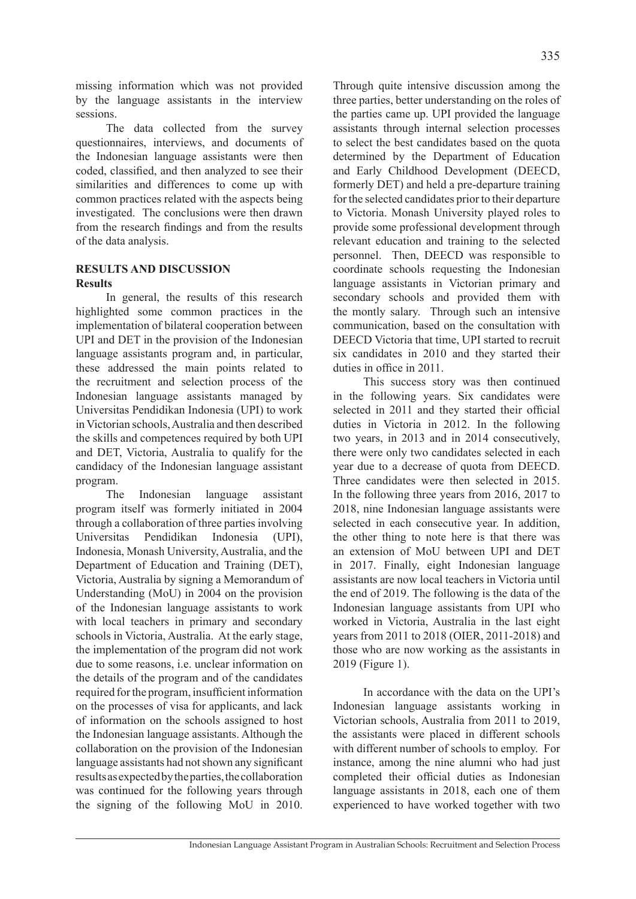missing information which was not provided by the language assistants in the interview sessions.

The data collected from the survey questionnaires, interviews, and documents of the Indonesian language assistants were then coded, classified, and then analyzed to see their similarities and differences to come up with common practices related with the aspects being investigated. The conclusions were then drawn from the research findings and from the results of the data analysis.

## **RESULTS AND DISCUSSION Results**

In general, the results of this research highlighted some common practices in the implementation of bilateral cooperation between UPI and DET in the provision of the Indonesian language assistants program and, in particular, these addressed the main points related to the recruitment and selection process of the Indonesian language assistants managed by Universitas Pendidikan Indonesia (UPI) to work in Victorian schools, Australia and then described the skills and competences required by both UPI and DET, Victoria, Australia to qualify for the candidacy of the Indonesian language assistant program.

The Indonesian language assistant program itself was formerly initiated in 2004 through a collaboration of three parties involving Universitas Pendidikan Indonesia (UPI), Indonesia, Monash University, Australia, and the Department of Education and Training (DET), Victoria, Australia by signing a Memorandum of Understanding (MoU) in 2004 on the provision of the Indonesian language assistants to work with local teachers in primary and secondary schools in Victoria, Australia. At the early stage, the implementation of the program did not work due to some reasons, i.e. unclear information on the details of the program and of the candidates required for the program, insufficient information on the processes of visa for applicants, and lack of information on the schools assigned to host the Indonesian language assistants. Although the collaboration on the provision of the Indonesian language assistants had not shown any significant results as expected by the parties, the collaboration was continued for the following years through the signing of the following MoU in 2010. Through quite intensive discussion among the three parties, better understanding on the roles of the parties came up. UPI provided the language assistants through internal selection processes to select the best candidates based on the quota determined by the Department of Education and Early Childhood Development (DEECD, formerly DET) and held a pre-departure training for the selected candidates prior to their departure to Victoria. Monash University played roles to provide some professional development through relevant education and training to the selected personnel. Then, DEECD was responsible to coordinate schools requesting the Indonesian language assistants in Victorian primary and secondary schools and provided them with the montly salary. Through such an intensive communication, based on the consultation with DEECD Victoria that time, UPI started to recruit six candidates in 2010 and they started their duties in office in 2011.

This success story was then continued in the following years. Six candidates were selected in 2011 and they started their official duties in Victoria in 2012. In the following two years, in 2013 and in 2014 consecutively, there were only two candidates selected in each year due to a decrease of quota from DEECD. Three candidates were then selected in 2015. In the following three years from 2016, 2017 to 2018, nine Indonesian language assistants were selected in each consecutive year. In addition, the other thing to note here is that there was an extension of MoU between UPI and DET in 2017. Finally, eight Indonesian language assistants are now local teachers in Victoria until the end of 2019. The following is the data of the Indonesian language assistants from UPI who worked in Victoria, Australia in the last eight years from 2011 to 2018 (OIER, 2011-2018) and those who are now working as the assistants in 2019 (Figure 1).

In accordance with the data on the UPI's Indonesian language assistants working in Victorian schools, Australia from 2011 to 2019, the assistants were placed in different schools with different number of schools to employ. For instance, among the nine alumni who had just completed their official duties as Indonesian language assistants in 2018, each one of them experienced to have worked together with two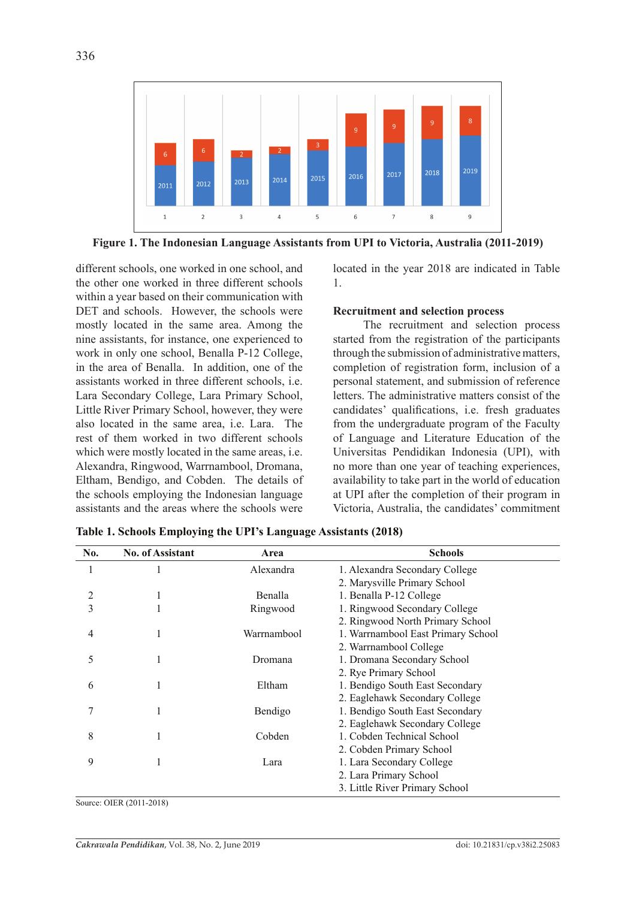

**Figure 1. The Indonesian Language Assistants from UPI to Victoria, Australia (2011-2019)**

different schools, one worked in one school, and the other one worked in three different schools within a year based on their communication with DET and schools. However, the schools were mostly located in the same area. Among the nine assistants, for instance, one experienced to work in only one school, Benalla P-12 College, in the area of Benalla. In addition, one of the assistants worked in three different schools, i.e. Lara Secondary College, Lara Primary School, Little River Primary School, however, they were also located in the same area, i.e. Lara. The rest of them worked in two different schools which were mostly located in the same areas, i.e. Alexandra, Ringwood, Warrnambool, Dromana, Eltham, Bendigo, and Cobden. The details of the schools employing the Indonesian language assistants and the areas where the schools were located in the year 2018 are indicated in Table 1.

#### **Recruitment and selection process**

The recruitment and selection process started from the registration of the participants through the submission of administrative matters, completion of registration form, inclusion of a personal statement, and submission of reference letters. The administrative matters consist of the candidates' qualifications, i.e. fresh graduates from the undergraduate program of the Faculty of Language and Literature Education of the Universitas Pendidikan Indonesia (UPI), with no more than one year of teaching experiences, availability to take part in the world of education at UPI after the completion of their program in Victoria, Australia, the candidates' commitment

| No.            | <b>No. of Assistant</b> | Area        | <b>Schools</b>                     |
|----------------|-------------------------|-------------|------------------------------------|
|                |                         | Alexandra   | 1. Alexandra Secondary College     |
|                |                         |             | 2. Marysville Primary School       |
| $\overline{2}$ | 1                       | Benalla     | 1. Benalla P-12 College            |
| 3              |                         | Ringwood    | 1. Ringwood Secondary College      |
|                |                         |             | 2. Ringwood North Primary School   |
| 4              |                         | Warrnambool | 1. Warrnambool East Primary School |
|                |                         |             | 2. Warrnambool College             |
| 5              |                         | Dromana     | 1. Dromana Secondary School        |
|                |                         |             | 2. Rye Primary School              |
| 6              |                         | Eltham      | 1. Bendigo South East Secondary    |
|                |                         |             | 2. Eaglehawk Secondary College     |
|                | 1                       | Bendigo     | 1. Bendigo South East Secondary    |
|                |                         |             | 2. Eaglehawk Secondary College     |
| 8              |                         | Cobden      | 1. Cobden Technical School         |
|                |                         |             | 2. Cobden Primary School           |
| 9              |                         | Lara        | 1. Lara Secondary College          |
|                |                         |             | 2. Lara Primary School             |
|                |                         |             | 3. Little River Primary School     |

**Table 1. Schools Employing the UPI's Language Assistants (2018)**

Source: OIER (2011-2018)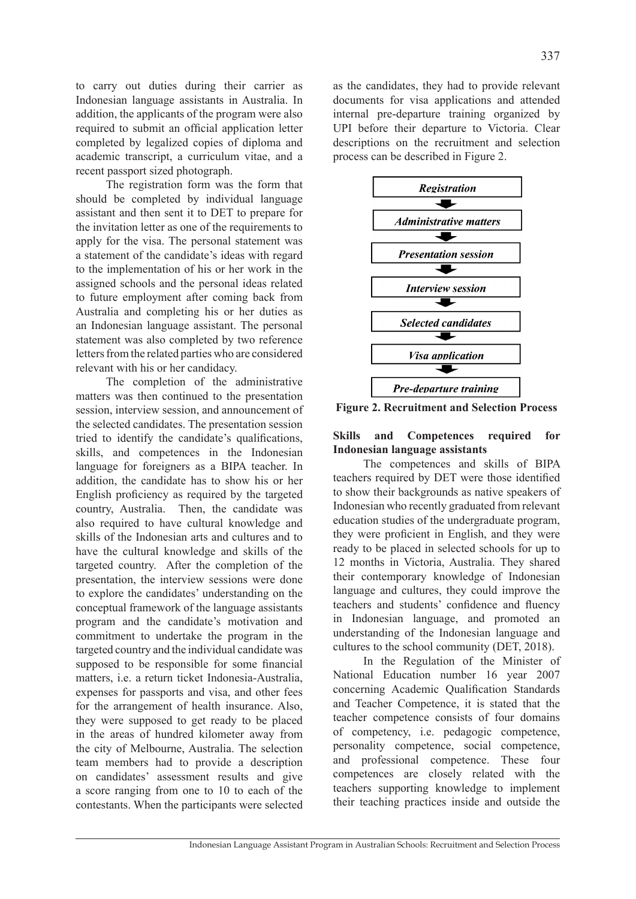to carry out duties during their carrier as Indonesian language assistants in Australia. In addition, the applicants of the program were also required to submit an official application letter completed by legalized copies of diploma and academic transcript, a curriculum vitae, and a recent passport sized photograph.

The registration form was the form that should be completed by individual language assistant and then sent it to DET to prepare for the invitation letter as one of the requirements to apply for the visa. The personal statement was a statement of the candidate's ideas with regard to the implementation of his or her work in the assigned schools and the personal ideas related to future employment after coming back from Australia and completing his or her duties as an Indonesian language assistant. The personal statement was also completed by two reference letters from the related parties who are considered relevant with his or her candidacy.

The completion of the administrative matters was then continued to the presentation session, interview session, and announcement of the selected candidates. The presentation session tried to identify the candidate's qualifications, skills, and competences in the Indonesian language for foreigners as a BIPA teacher. In addition, the candidate has to show his or her English proficiency as required by the targeted country, Australia. Then, the candidate was also required to have cultural knowledge and skills of the Indonesian arts and cultures and to have the cultural knowledge and skills of the targeted country. After the completion of the presentation, the interview sessions were done to explore the candidates' understanding on the conceptual framework of the language assistants program and the candidate's motivation and commitment to undertake the program in the targeted country and the individual candidate was supposed to be responsible for some financial matters, i.e. a return ticket Indonesia-Australia, expenses for passports and visa, and other fees for the arrangement of health insurance. Also, they were supposed to get ready to be placed in the areas of hundred kilometer away from the city of Melbourne, Australia. The selection team members had to provide a description on candidates' assessment results and give a score ranging from one to 10 to each of the contestants. When the participants were selected as the candidates, they had to provide relevant documents for visa applications and attended internal pre-departure training organized by UPI before their departure to Victoria. Clear descriptions on the recruitment and selection process can be described in Figure 2.



**Figure 2. Recruitment and Selection Process**

## **Skills and Competences required for Indonesian language assistants**

The competences and skills of BIPA teachers required by DET were those identified to show their backgrounds as native speakers of Indonesian who recently graduated from relevant education studies of the undergraduate program, they were proficient in English, and they were ready to be placed in selected schools for up to 12 months in Victoria, Australia. They shared their contemporary knowledge of Indonesian language and cultures, they could improve the teachers and students' confidence and fluency in Indonesian language, and promoted an understanding of the Indonesian language and cultures to the school community (DET, 2018).

In the Regulation of the Minister of National Education number 16 year 2007 concerning Academic Qualification Standards and Teacher Competence, it is stated that the teacher competence consists of four domains of competency, i.e. pedagogic competence, personality competence, social competence, and professional competence. These four competences are closely related with the teachers supporting knowledge to implement their teaching practices inside and outside the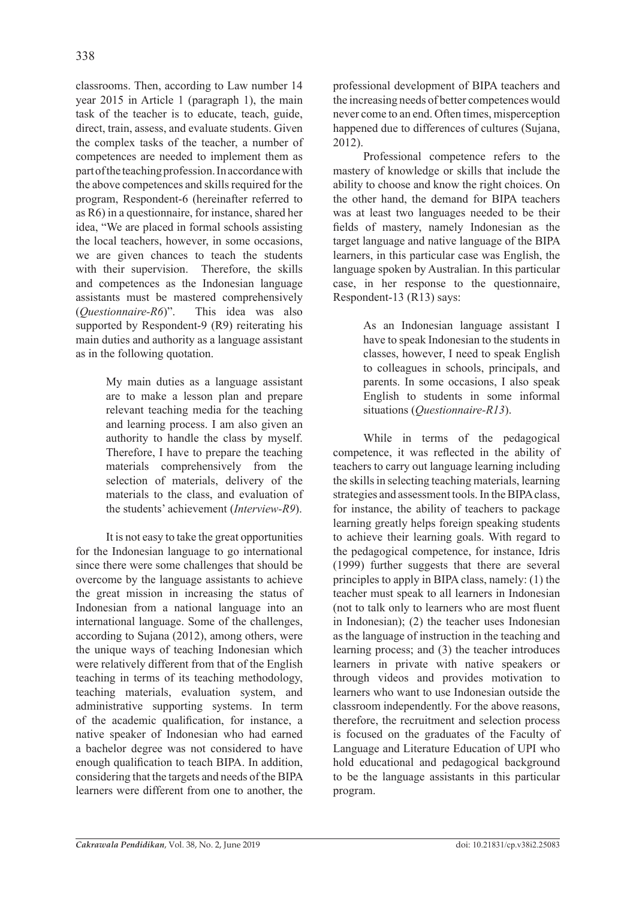classrooms. Then, according to Law number 14 year 2015 in Article 1 (paragraph 1), the main task of the teacher is to educate, teach, guide, direct, train, assess, and evaluate students. Given the complex tasks of the teacher, a number of competences are needed to implement them as part of the teaching profession. In accordance with the above competences and skills required for the program, Respondent-6 (hereinafter referred to as R6) in a questionnaire, for instance, shared her idea, "We are placed in formal schools assisting the local teachers, however, in some occasions, we are given chances to teach the students with their supervision. Therefore, the skills and competences as the Indonesian language assistants must be mastered comprehensively (*Questionnaire-R6*)". This idea was also supported by Respondent-9 (R9) reiterating his main duties and authority as a language assistant as in the following quotation.

> My main duties as a language assistant are to make a lesson plan and prepare relevant teaching media for the teaching and learning process. I am also given an authority to handle the class by myself. Therefore, I have to prepare the teaching materials comprehensively from the selection of materials, delivery of the materials to the class, and evaluation of the students' achievement (*Interview-R9*).

It is not easy to take the great opportunities for the Indonesian language to go international since there were some challenges that should be overcome by the language assistants to achieve the great mission in increasing the status of Indonesian from a national language into an international language. Some of the challenges, according to Sujana (2012), among others, were the unique ways of teaching Indonesian which were relatively different from that of the English teaching in terms of its teaching methodology, teaching materials, evaluation system, and administrative supporting systems. In term of the academic qualification, for instance, a native speaker of Indonesian who had earned a bachelor degree was not considered to have enough qualification to teach BIPA. In addition, considering that the targets and needs of the BIPA learners were different from one to another, the professional development of BIPA teachers and the increasing needs of better competences would never come to an end. Often times, misperception happened due to differences of cultures (Sujana, 2012).

Professional competence refers to the mastery of knowledge or skills that include the ability to choose and know the right choices. On the other hand, the demand for BIPA teachers was at least two languages needed to be their fields of mastery, namely Indonesian as the target language and native language of the BIPA learners, in this particular case was English, the language spoken by Australian. In this particular case, in her response to the questionnaire, Respondent-13 (R13) says:

> As an Indonesian language assistant I have to speak Indonesian to the students in classes, however, I need to speak English to colleagues in schools, principals, and parents. In some occasions, I also speak English to students in some informal situations (*Questionnaire-R13*).

While in terms of the pedagogical competence, it was reflected in the ability of teachers to carry out language learning including the skills in selecting teaching materials, learning strategies and assessment tools. In the BIPA class, for instance, the ability of teachers to package learning greatly helps foreign speaking students to achieve their learning goals. With regard to the pedagogical competence, for instance, Idris (1999) further suggests that there are several principles to apply in BIPA class, namely: (1) the teacher must speak to all learners in Indonesian (not to talk only to learners who are most fluent in Indonesian); (2) the teacher uses Indonesian as the language of instruction in the teaching and learning process; and (3) the teacher introduces learners in private with native speakers or through videos and provides motivation to learners who want to use Indonesian outside the classroom independently. For the above reasons, therefore, the recruitment and selection process is focused on the graduates of the Faculty of Language and Literature Education of UPI who hold educational and pedagogical background to be the language assistants in this particular program.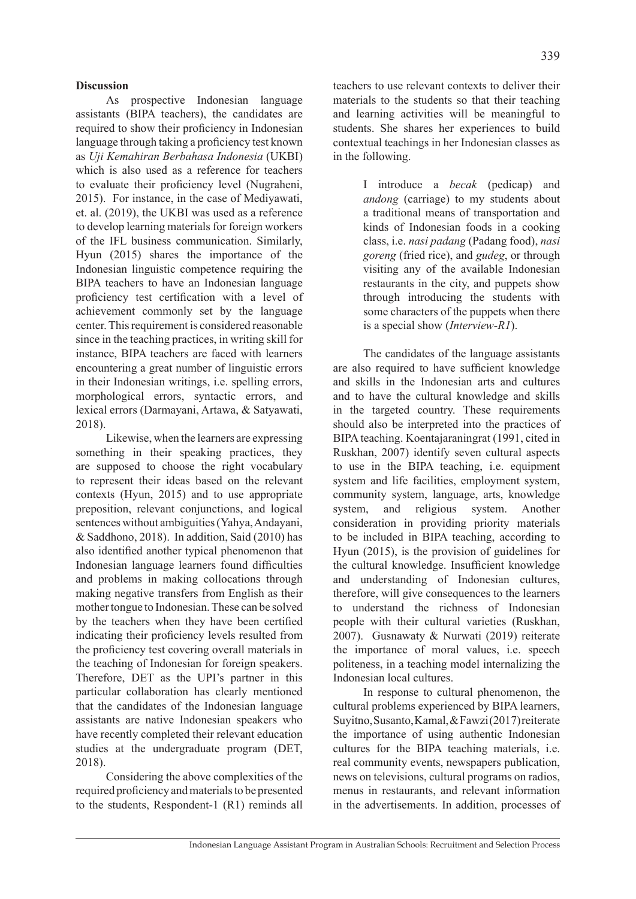As prospective Indonesian language assistants (BIPA teachers), the candidates are required to show their proficiency in Indonesian language through taking a proficiency test known as *Uji Kemahiran Berbahasa Indonesia* (UKBI) which is also used as a reference for teachers to evaluate their proficiency level (Nugraheni, 2015). For instance, in the case of Mediyawati, et. al. (2019), the UKBI was used as a reference to develop learning materials for foreign workers of the IFL business communication. Similarly, Hyun (2015) shares the importance of the Indonesian linguistic competence requiring the BIPA teachers to have an Indonesian language proficiency test certification with a level of achievement commonly set by the language center. This requirement is considered reasonable since in the teaching practices, in writing skill for instance, BIPA teachers are faced with learners encountering a great number of linguistic errors in their Indonesian writings, i.e. spelling errors, morphological errors, syntactic errors, and lexical errors (Darmayani, Artawa, & Satyawati, 2018).

Likewise, when the learners are expressing something in their speaking practices, they are supposed to choose the right vocabulary to represent their ideas based on the relevant contexts (Hyun, 2015) and to use appropriate preposition, relevant conjunctions, and logical sentences without ambiguities (Yahya, Andayani, & Saddhono, 2018). In addition, Said (2010) has also identified another typical phenomenon that Indonesian language learners found difficulties and problems in making collocations through making negative transfers from English as their mother tongue to Indonesian. These can be solved by the teachers when they have been certified indicating their proficiency levels resulted from the proficiency test covering overall materials in the teaching of Indonesian for foreign speakers. Therefore, DET as the UPI's partner in this particular collaboration has clearly mentioned that the candidates of the Indonesian language assistants are native Indonesian speakers who have recently completed their relevant education studies at the undergraduate program (DET, 2018).

Considering the above complexities of the required proficiency and materials to be presented to the students, Respondent-1 (R1) reminds all

teachers to use relevant contexts to deliver their materials to the students so that their teaching and learning activities will be meaningful to students. She shares her experiences to build contextual teachings in her Indonesian classes as in the following.

> I introduce a *becak* (pedicap) and *andong* (carriage) to my students about a traditional means of transportation and kinds of Indonesian foods in a cooking class, i.e. *nasi padang* (Padang food), *nasi goreng* (fried rice), and *gudeg*, or through visiting any of the available Indonesian restaurants in the city, and puppets show through introducing the students with some characters of the puppets when there is a special show (*Interview-R1*).

The candidates of the language assistants are also required to have sufficient knowledge and skills in the Indonesian arts and cultures and to have the cultural knowledge and skills in the targeted country. These requirements should also be interpreted into the practices of BIPA teaching. Koentajaraningrat (1991, cited in Ruskhan, 2007) identify seven cultural aspects to use in the BIPA teaching, i.e. equipment system and life facilities, employment system, community system, language, arts, knowledge system, and religious system. Another consideration in providing priority materials to be included in BIPA teaching, according to Hyun (2015), is the provision of guidelines for the cultural knowledge. Insufficient knowledge and understanding of Indonesian cultures, therefore, will give consequences to the learners to understand the richness of Indonesian people with their cultural varieties (Ruskhan, 2007). Gusnawaty & Nurwati (2019) reiterate the importance of moral values, i.e. speech politeness, in a teaching model internalizing the Indonesian local cultures.

In response to cultural phenomenon, the cultural problems experienced by BIPA learners, Suyitno, Susanto, Kamal, & Fawzi (2017) reiterate the importance of using authentic Indonesian cultures for the BIPA teaching materials, i.e. real community events, newspapers publication, news on televisions, cultural programs on radios, menus in restaurants, and relevant information in the advertisements. In addition, processes of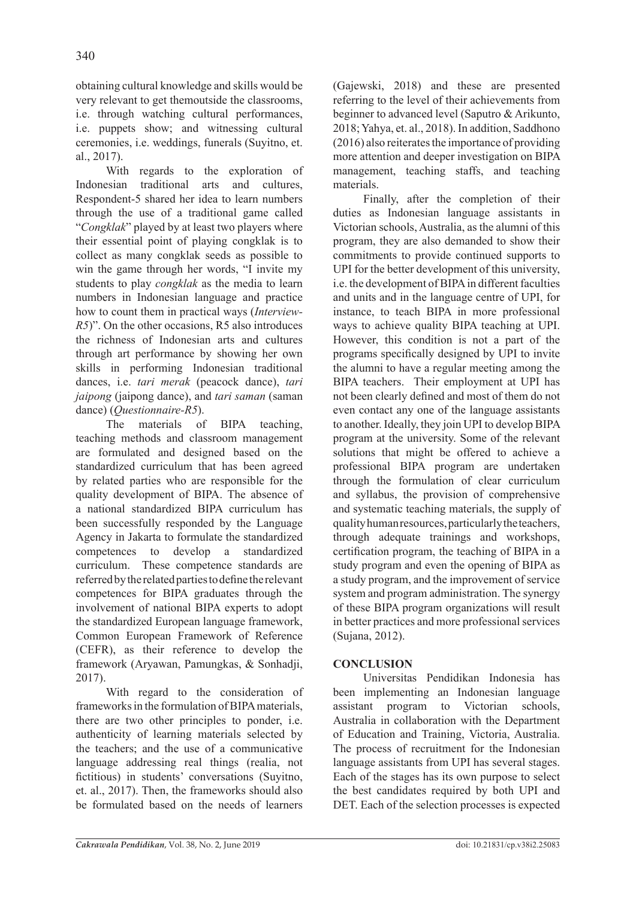obtaining cultural knowledge and skills would be very relevant to get themoutside the classrooms, i.e. through watching cultural performances, i.e. puppets show; and witnessing cultural ceremonies, i.e. weddings, funerals (Suyitno, et. al., 2017).

With regards to the exploration of Indonesian traditional arts and cultures, Respondent-5 shared her idea to learn numbers through the use of a traditional game called "*Congklak*" played by at least two players where their essential point of playing congklak is to collect as many congklak seeds as possible to win the game through her words, "I invite my students to play *congklak* as the media to learn numbers in Indonesian language and practice how to count them in practical ways (*Interview-R5*)". On the other occasions, R5 also introduces the richness of Indonesian arts and cultures through art performance by showing her own skills in performing Indonesian traditional dances, i.e. *tari merak* (peacock dance), *tari jaipong* (jaipong dance), and *tari saman* (saman dance) (*Questionnaire-R5*).

The materials of BIPA teaching, teaching methods and classroom management are formulated and designed based on the standardized curriculum that has been agreed by related parties who are responsible for the quality development of BIPA. The absence of a national standardized BIPA curriculum has been successfully responded by the Language Agency in Jakarta to formulate the standardized competences to develop a standardized curriculum. These competence standards are referred by the related parties to define the relevant competences for BIPA graduates through the involvement of national BIPA experts to adopt the standardized European language framework, Common European Framework of Reference (CEFR), as their reference to develop the framework (Aryawan, Pamungkas, & Sonhadji, 2017).

With regard to the consideration of frameworks in the formulation of BIPA materials, there are two other principles to ponder, i.e. authenticity of learning materials selected by the teachers; and the use of a communicative language addressing real things (realia, not fictitious) in students' conversations (Suyitno, et. al., 2017). Then, the frameworks should also be formulated based on the needs of learners (Gajewski, 2018) and these are presented referring to the level of their achievements from beginner to advanced level (Saputro & Arikunto, 2018; Yahya, et. al., 2018). In addition, Saddhono (2016) also reiterates the importance of providing more attention and deeper investigation on BIPA management, teaching staffs, and teaching materials.

Finally, after the completion of their duties as Indonesian language assistants in Victorian schools, Australia, as the alumni of this program, they are also demanded to show their commitments to provide continued supports to UPI for the better development of this university, i.e. the development of BIPA in different faculties and units and in the language centre of UPI, for instance, to teach BIPA in more professional ways to achieve quality BIPA teaching at UPI. However, this condition is not a part of the programs specifically designed by UPI to invite the alumni to have a regular meeting among the BIPA teachers. Their employment at UPI has not been clearly defined and most of them do not even contact any one of the language assistants to another. Ideally, they join UPI to develop BIPA program at the university. Some of the relevant solutions that might be offered to achieve a professional BIPA program are undertaken through the formulation of clear curriculum and syllabus, the provision of comprehensive and systematic teaching materials, the supply of quality human resources, particularly the teachers, through adequate trainings and workshops, certification program, the teaching of BIPA in a study program and even the opening of BIPA as a study program, and the improvement of service system and program administration. The synergy of these BIPA program organizations will result in better practices and more professional services (Sujana, 2012).

# **CONCLUSION**

Universitas Pendidikan Indonesia has been implementing an Indonesian language assistant program to Victorian schools, Australia in collaboration with the Department of Education and Training, Victoria, Australia. The process of recruitment for the Indonesian language assistants from UPI has several stages. Each of the stages has its own purpose to select the best candidates required by both UPI and DET. Each of the selection processes is expected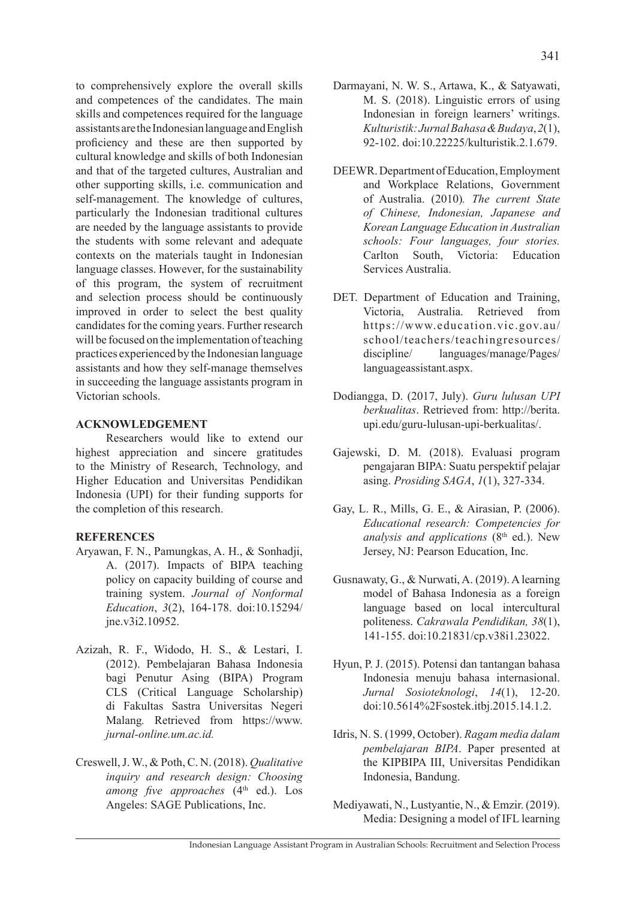to comprehensively explore the overall skills and competences of the candidates. The main skills and competences required for the language assistants are the Indonesian language and English proficiency and these are then supported by cultural knowledge and skills of both Indonesian and that of the targeted cultures, Australian and other supporting skills, i.e. communication and self-management. The knowledge of cultures, particularly the Indonesian traditional cultures are needed by the language assistants to provide the students with some relevant and adequate contexts on the materials taught in Indonesian language classes. However, for the sustainability of this program, the system of recruitment and selection process should be continuously improved in order to select the best quality candidates for the coming years. Further research will be focused on the implementation of teaching practices experienced by the Indonesian language assistants and how they self-manage themselves in succeeding the language assistants program in Victorian schools.

### **ACKNOWLEDGEMENT**

Researchers would like to extend our highest appreciation and sincere gratitudes to the Ministry of Research, Technology, and Higher Education and Universitas Pendidikan Indonesia (UPI) for their funding supports for the completion of this research.

### **REFERENCES**

- Aryawan, F. N., Pamungkas, A. H., & Sonhadji, A. (2017). Impacts of BIPA teaching policy on capacity building of course and training system. *Journal of Nonformal Education*, *3*(2), 164-178. doi:10.15294/ jne.v3i2.10952.
- Azizah, R. F., Widodo, H. S., & Lestari, I. (2012). Pembelajaran Bahasa Indonesia bagi Penutur Asing (BIPA) Program CLS (Critical Language Scholarship) di Fakultas Sastra Universitas Negeri Malang*.* Retrieved from https://www. *jurnal-online.um.ac.id.*
- Creswell, J. W., & Poth, C. N. (2018). *Qualitative inquiry and research design: Choosing among five approaches* (4<sup>th</sup> ed.). Los Angeles: SAGE Publications, Inc.
- Darmayani, N. W. S., Artawa, K., & Satyawati, M. S. (2018). Linguistic errors of using Indonesian in foreign learners' writings. *Kulturistik: Jurnal Bahasa & Budaya*, *2*(1), 92-102. doi:10.22225/kulturistik.2.1.679.
- DEEWR. Department of Education, Employment and Workplace Relations, Government of Australia. (2010)*. The current State of Chinese, Indonesian, Japanese and Korean Language Education in Australian schools: Four languages, four stories.*  Carlton South, Victoria: Education Services Australia.
- DET. Department of Education and Training, Victoria, Australia. Retrieved from https://www.education.vic.gov.au/ school/teachers/teachingresources/ discipline/ languages/manage/Pages/ languageassistant.aspx.
- Dodiangga, D. (2017, July). *Guru lulusan UPI berkualitas*. Retrieved from: http://berita. upi.edu/guru-lulusan-upi-berkualitas/.
- Gajewski, D. M. (2018). Evaluasi program pengajaran BIPA: Suatu perspektif pelajar asing. *Prosiding SAGA*, *1*(1), 327-334.
- Gay, L. R., Mills, G. E., & Airasian, P. (2006). *Educational research: Competencies for analysis and applications* (8<sup>th</sup> ed.). New Jersey, NJ: Pearson Education, Inc.
- Gusnawaty, G., & Nurwati, A. (2019). A learning model of Bahasa Indonesia as a foreign language based on local intercultural politeness. *Cakrawala Pendidikan, 38*(1), 141-155. doi:10.21831/cp.v38i1.23022.
- Hyun, P. J. (2015). Potensi dan tantangan bahasa Indonesia menuju bahasa internasional. *Jurnal Sosioteknologi*, *14*(1), 12-20. doi:10.5614%2Fsostek.itbj.2015.14.1.2.
- Idris, N. S. (1999, October). *Ragam media dalam pembelajaran BIPA*. Paper presented at the KIPBIPA III, Universitas Pendidikan Indonesia, Bandung.
- Mediyawati, N., Lustyantie, N., & Emzir. (2019). Media: Designing a model of IFL learning